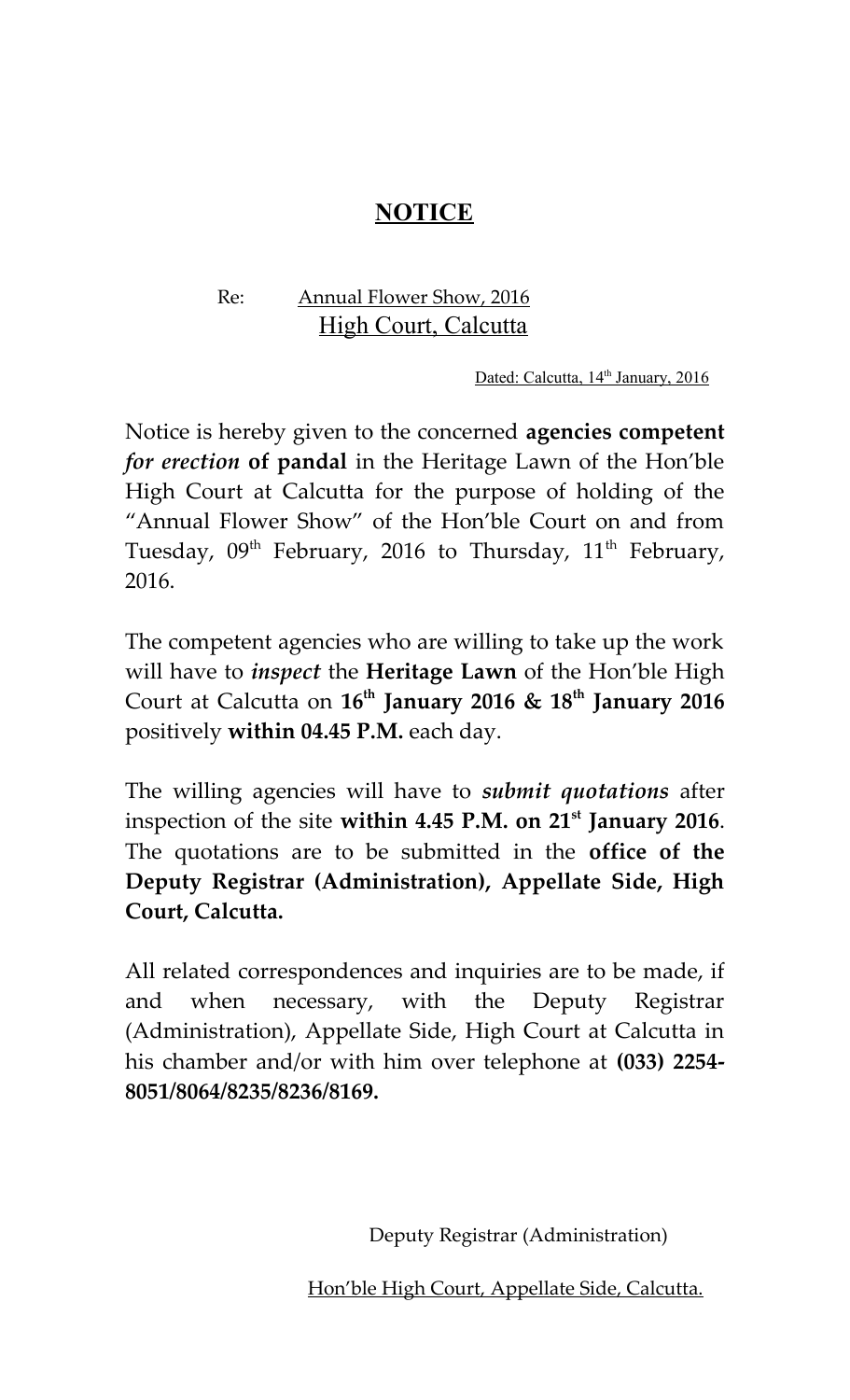## **NOTICE**

## Re: Annual Flower Show, 2016 High Court, Calcutta

Dated: Calcutta, 14<sup>th</sup> January, 2016

Notice is hereby given to the concerned **agencies competent** *for erection* **of pandal** in the Heritage Lawn of the Hon'ble High Court at Calcutta for the purpose of holding of the "Annual Flower Show" of the Hon'ble Court on and from Tuesday,  $09<sup>th</sup>$  February, 2016 to Thursday,  $11<sup>th</sup>$  February, 2016.

The competent agencies who are willing to take up the work will have to *inspect* the **Heritage Lawn** of the Hon'ble High Court at Calcutta on **16th January 2016 & 18th January 2016** positively **within 04.45 P.M.** each day.

The willing agencies will have to *submit quotations* after inspection of the site **within 4.45 P.M. on 21st January 2016**. The quotations are to be submitted in the **office of the Deputy Registrar (Administration), Appellate Side, High Court, Calcutta.**

All related correspondences and inquiries are to be made, if and when necessary, with the Deputy Registrar (Administration), Appellate Side, High Court at Calcutta in his chamber and/or with him over telephone at **(033) 2254- 8051/8064/8235/8236/8169.**

Deputy Registrar (Administration)

Hon'ble High Court, Appellate Side, Calcutta.